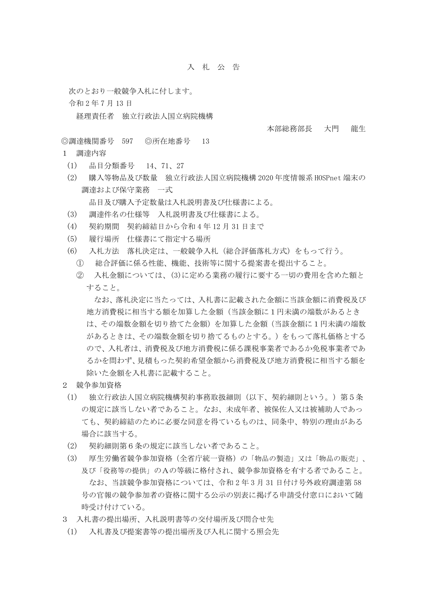## 入 札 公 告

次のとおり一般競争入札に付します。

令和 2 年 7 月 13 日

経理責任者 独立行政法人国立病院機構

本部総務部長 大門 龍生

◎調達機関番号 597 ◎所在地番号 13

- 1 調達内容
	- (1) 品目分類番号 14、71、27
	- (2) 購入等物品及び数量 独立行政法人国立病院機構 2020 年度情報系 HOSPnet 端末の 調達および保守業務 一式

品目及び購入予定数量は入札説明書及び仕様書による。

- (3) 調達件名の仕様等 入札説明書及び仕様書による。
- (4) 契約期間 契約締結日から令和 4 年 12 月 31 日まで
- (5) 履行場所 仕様書にて指定する場所
- (6) 入札方法 落札決定は、一般競争入札(総合評価落札方式)をもって行う。
	- ① 総合評価に係る性能、機能、技術等に関する提案書を提出すること。
	- ② 入札金額については、(3)に定める業務の履行に要する一切の費用を含めた額と すること。

なお、落札決定に当たっては、入札書に記載された金額に当該金額に消費税及び 地方消費税に相当する額を加算した金額(当該金額に1円未満の端数があるとき は、その端数金額を切り捨てた金額)を加算した金額(当該金額に1円未満の端数 があるときは、その端数金額を切り捨てるものとする。)をもって落札価格とする ので、入札者は、消費税及び地方消費税に係る課税事業者であるか免税事業者であ るかを問わず、見積もった契約希望金額から消費税及び地方消費税に相当する額を 除いた金額を入札書に記載すること。

- 2 競争参加資格
	- (1) 独立行政法人国立病院機構契約事務取扱細則(以下、契約細則という。)第5条 の規定に該当しない者であること。なお、未成年者、被保佐人又は被補助人であっ ても、契約締結のために必要な同意を得ているものは、同条中、特別の理由がある 場合に該当する。
	- (2) 契約細則第6条の規定に該当しない者であること。
	- (3) 厚生労働省競争参加資格(全省庁統一資格)の「物品の製造」又は「物品の販売」、 及び「役務等の提供」のAの等級に格付され、競争参加資格を有する者であること。 なお、当該競争参加資格については、令和 2 年 3 月 31 日付け号外政府調達第 58 号の官報の競争参加者の資格に関する公示の別表に掲げる申請受付窓口において随 時受け付けている。
- 3 入札書の提出場所、入札説明書等の交付場所及び問合せ先
- (1) 入札書及び提案書等の提出場所及び入札に関する照会先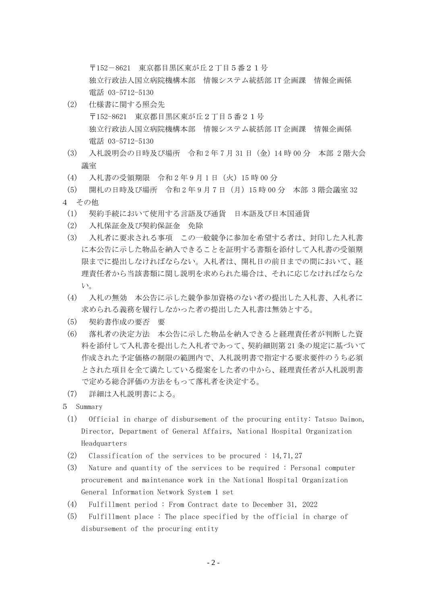〒152-8621 東京都目黒区東が丘2丁目5番21号

独立行政法人国立病院機構本部 情報システム統括部 IT 企画課 情報企画係 電話 03-5712-5130

- (2) 仕様書に関する照会先 〒152-8621 東京都目黒区東が丘2丁目5番21号 独立行政法人国立病院機構本部 情報システム統括部 IT 企画課 情報企画係 電話 03-5712-5130
- (3) 入札説明会の日時及び場所 令和 2 年 7 月 31 日(金)14 時 00 分 本部 2 階大会 議室
- (4) 入札書の受領期限 令和 2 年 9 月 1 日(火)15 時 00 分
- (5) 開札の日時及び場所 令和 2 年 9 月 7 日(月)15 時 00 分 本部 3 階会議室 32 4 その他
	- (1) 契約手続において使用する言語及び通貨 日本語及び日本国通貨
	- (2) 入札保証金及び契約保証金 免除
	- (3) 入札者に要求される事項 この一般競争に参加を希望する者は、封印した入札書 に本公告に示した物品を納入できることを証明する書類を添付して入札書の受領期 限までに提出しなければならない。入札者は、開札日の前日までの間において、経 理責任者から当該書類に関し説明を求められた場合は、それに応じなければならな い。
	- (4) 入札の無効 本公告に示した競争参加資格のない者の提出した入札書、入札者に 求められる義務を履行しなかった者の提出した入札書は無効とする。
	- (5) 契約書作成の要否 要
	- (6) 落札者の決定方法 本公告に示した物品を納入できると経理責任者が判断した資 料を添付して入札書を提出した入札者であって、契約細則第 21 条の規定に基づいて 作成された予定価格の制限の範囲内で、入札説明書で指定する要求要件のうち必須 とされた項目を全て満たしている提案をした者の中から、経理責任者が入札説明書 で定める総合評価の方法をもって落札者を決定する。
- (7) 詳細は入札説明書による。
- 5 Summary
- (1) Official in charge of disbursement of the procuring entity: Tatsuo Daimon, Director, Department of General Affairs, National Hospital Organization Headquarters
- (2) Classification of the services to be procured : 14,71,27
- (3) Nature and quantity of the services to be required : Personal computer procurement and maintenance work in the National Hospital Organization General Information Network System 1 set
- (4) Fulfillment period : From Contract date to December 31, 2022
- (5) Fulfillment place : The place specified by the official in charge of disbursement of the procuring entity